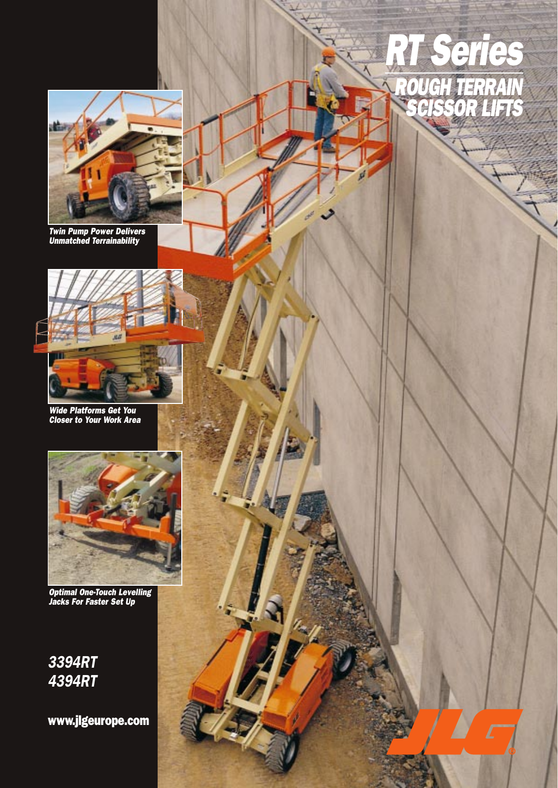

ROUGH TERRAIN

RT Series

SCISSOR LIFTS

Twin Pump Power Delivers Unmatched Terrainability



Wide Platforms Get You Closer to Your Work Area



Optimal One-Touch Levelling Jacks For Faster Set Up

## 3394RT 4394RT

www.jlgeurope.com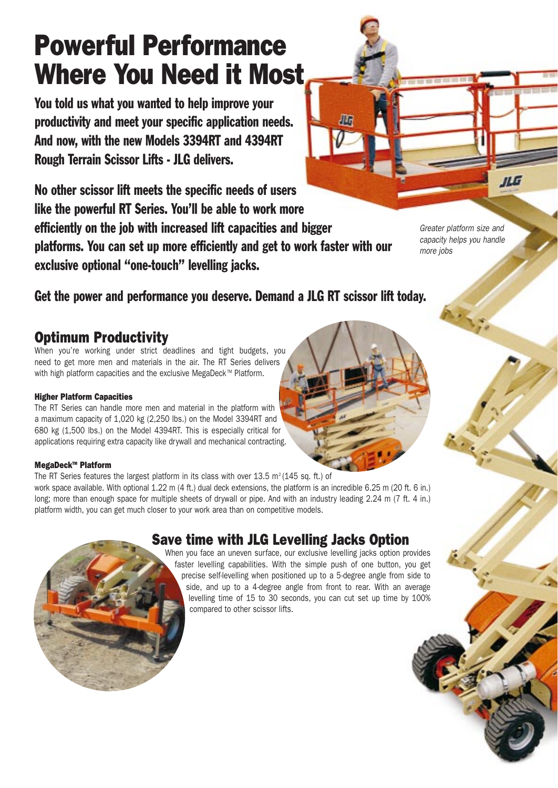## Powerful Performance Where You Need it Most

You told us what you wanted to help improve your productivity and meet your specific application needs. And now, with the new Models 3394RT and 4394RT Rough Terrain Scissor Lifts - JLG delivers.

No other scissor lift meets the specific needs of users like the powerful RT Series. You'll be able to work more efficiently on the job with increased lift capacities and bigger platforms. You can set up more efficiently and get to work faster with our exclusive optional "one-touch" levelling jacks.

Greater platform size and capacity helps you handle more jobs

Get the power and performance you deserve. Demand a JLG RT scissor lift today.

## Optimum Productivity

When you're working under strict deadlines and tight budgets, you need to get more men and materials in the air. The RT Series delivers with high platform capacities and the exclusive MegaDeck™ Platform.

#### Higher Platform Capacities

The RT Series can handle more men and material in the platform with a maximum capacity of 1,020 kg (2,250 lbs.) on the Model 3394RT and 680 kg (1,500 lbs.) on the Model 4394RT. This is especially critical for applications requiring extra capacity like drywall and mechanical contracting.

#### MegaDeck<sup>™</sup> Platform

The RT Series features the largest platform in its class with over 13.5 m<sup>2</sup> (145 sq. ft.) of work space available. With optional 1.22 m (4 ft.) dual deck extensions, the platform is an incredible 6.25 m (20 ft. 6 in.) long; more than enough space for multiple sheets of drywall or pipe. And with an industry leading 2.24 m (7 ft. 4 in.) platform width, you can get much closer to your work area than on competitive models.

## Save time with JLG Levelling Jacks Option

When you face an uneven surface, our exclusive levelling jacks option provides faster levelling capabilities. With the simple push of one button, you get precise self-levelling when positioned up to a 5-degree angle from side to side, and up to a 4-degree angle from front to rear. With an average levelling time of 15 to 30 seconds, you can cut set up time by 100% compared to other scissor lifts.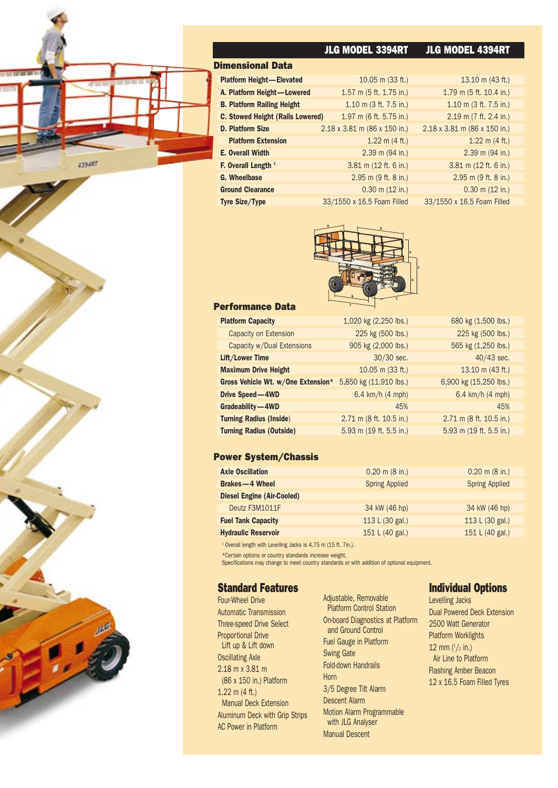

|                                         | <b>JLG MODEL 3394RT</b>             | <b>JLG MODEL 4394RT</b>             |
|-----------------------------------------|-------------------------------------|-------------------------------------|
| <b>Dimensional Data</b>                 |                                     |                                     |
| <b>Platform Height-Elevated</b>         | $10.05$ m (33 ft.)                  | 13.10 m $(43 ft.)$                  |
| A. Platform Height-Lowered              | $1.57$ m (5 ft. $1.75$ in.)         | $1.79$ m (5 ft. 10.4 in.)           |
| <b>B. Platform Railing Height</b>       | $1.10$ m (3 ft. 7.5 in.)            | 1.10 m $(3 ft. 7.5 in.)$            |
| <b>C. Stowed Height (Rails Lowered)</b> | 1.97 m (6 ft. 5.75 in.)             | $2.19$ m (7 ft. 2.4 in.)            |
| <b>D. Platform Size</b>                 | $2.18 \times 3.81$ m (86 x 150 in.) | $2.18 \times 3.81$ m (86 x 150 in.) |
| <b>Platform Extension</b>               | 1.22 m $(4 ft.)$                    | $1.22$ m $(4$ ft.)                  |
| <b>E. Overall Width</b>                 | $2.39$ m (94 in.)                   | $2.39$ m (94 in.)                   |
| F. Overall Length <sup>1</sup>          | $3.81$ m (12 ft. 6 in.)             | $3.81$ m (12 ft. 6 in.)             |
| G. Wheelbase                            | $2.95$ m $(9$ ft. 8 in.)            | $2.95$ m $(9$ ft. 8 in.)            |
| <b>Ground Clearance</b>                 | $0.30$ m $(12$ in.)                 | $0.30$ m $(12$ in.)                 |
| <b>Tyre Size/Type</b>                   | 33/1550 x 16.5 Foam Filled          | 33/1550 x 16.5 Foam Filled          |



#### Performance Data

| <b>Platform Capacity</b>           | 1,020 kg (2,250 lbs.)      | 680 kg (1,500 lbs.)     |
|------------------------------------|----------------------------|-------------------------|
| Capacity on Extension              | 225 kg (500 lbs.)          | 225 kg (500 lbs.)       |
| Capacity w/Dual Extensions         | 905 kg (2,000 lbs.)        | 565 kg (1,250 lbs.)     |
| Lift/Lower Time                    | 30/30 sec.                 | 40/43 sec.              |
| <b>Maximum Drive Height</b>        | $10.05$ m (33 ft.)         | 13.10 m (43 ft.)        |
| Gross Vehicle Wt. w/One Extension* | 5,850 kg (11,910 lbs.)     | 6,900 kg (15,250 lbs.)  |
| Drive Speed-4WD                    | 6.4 km/h $(4 \text{ mph})$ | 6.4 km/h (4 mph)        |
| Gradeability-4WD                   | 45%                        | 45%                     |
| <b>Turning Radius (Inside)</b>     | 2.71 m (8 ft. 10.5 in.)    | 2.71 m (8 ft. 10.5 in.) |
| <b>Turning Radius (Outside)</b>    | 5.93 m $(19$ ft. 5.5 in.)  | 5.93 m (19 ft. 5.5 in.) |

#### Power System/Chassis

| <b>Axle Oscillation</b>           | $0.20$ m $(8 \text{ in.})$ | $0.20$ m $(8$ in.)    |
|-----------------------------------|----------------------------|-----------------------|
| <b>Brakes-4 Wheel</b>             | <b>Spring Applied</b>      | <b>Spring Applied</b> |
| <b>Diesel Engine (Air-Cooled)</b> |                            |                       |
| Deutz F3M1011F                    | 34 kW (46 hp)              | 34 kW (46 hp)         |
| <b>Fuel Tank Capacity</b>         | 113 L (30 gal.)            | 113 L (30 gal.)       |
| <b>Hydraulic Reservoir</b>        | 151 L (40 gal.)            | 151 L (40 gal.)       |

<sup>1</sup> Overall length with Levelling Jacks is 4.75 m (15 ft. 7in.).

\*Certain options or country standards increase weight.

Specifications may change to meet country standards or with addition of optional equipment.

#### Standard Features

Four-Wheel Drive Automatic Transmission Three-speed Drive Select Proportional Drive Lift up & Lift down Oscillating Axle 2.18 m x 3.81 m (86 x 150 in.) Platform 1.22 m (4 ft.) Manual Deck Extension Aluminum Deck with Grip Strips AC Power in Platform

Adjustable, Removable Platform Control Station On-board Diagnostics at Platform and Ground Control Fuel Gauge in Platform Swing Gate Fold-down Handrails Horn 3/5 Degree Tilt Alarm Descent Alarm Motion Alarm Programmable with JLG Analyser Manual Descent

#### Individual Options

Levelling Jacks Dual Powered Deck Extension 2500 Watt Generator Platform Worklights 12 mm  $(^1/2$  in.) Air Line to Platform Flashing Amber Beacon 12 x 16.5 Foam Filled Tyres